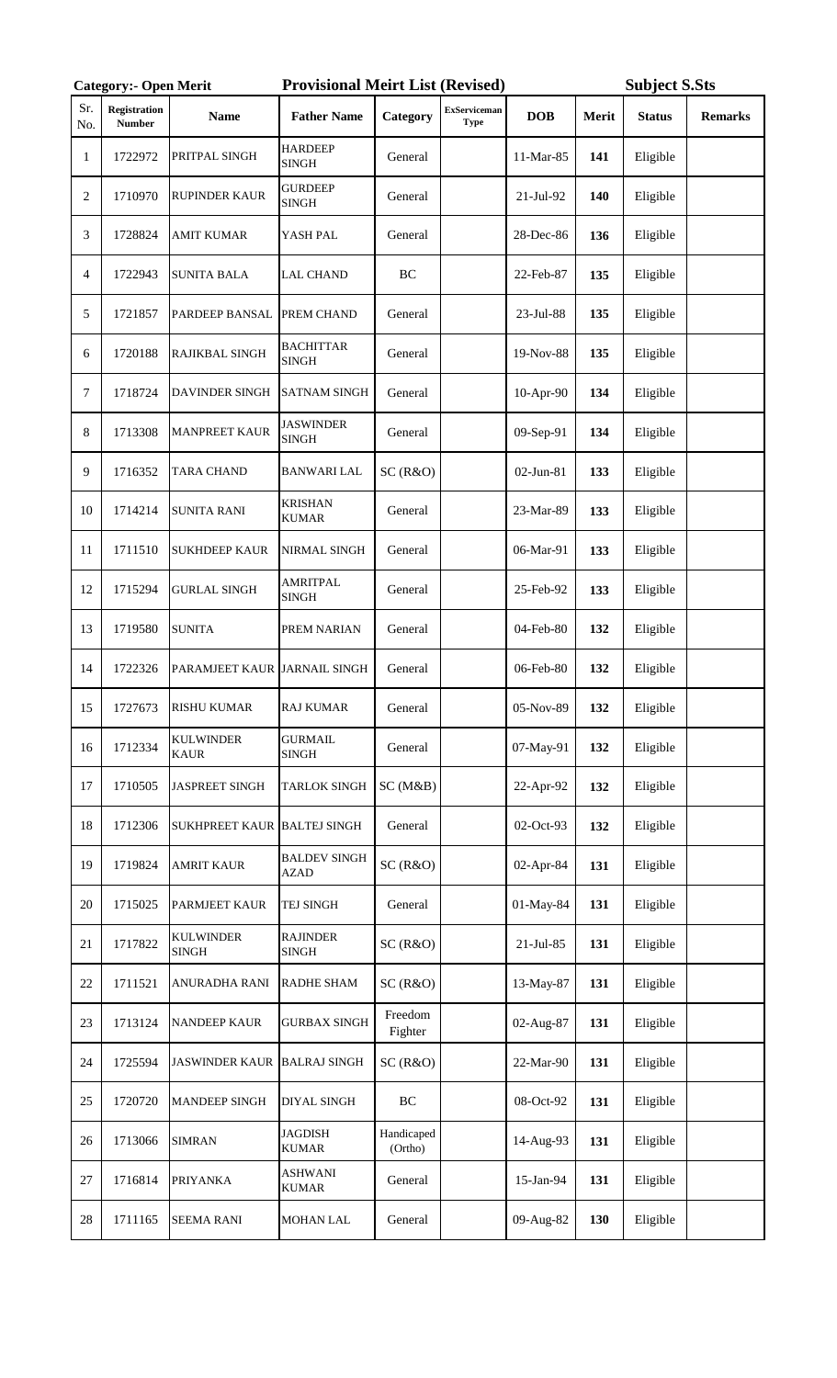|                | <b>Category:- Open Merit</b>         |                                 | <b>Provisional Meirt List (Revised)</b> |                       |                                    |              | <b>Subject S.Sts</b> |               |                |
|----------------|--------------------------------------|---------------------------------|-----------------------------------------|-----------------------|------------------------------------|--------------|----------------------|---------------|----------------|
| Sr.<br>No.     | <b>Registration</b><br><b>Number</b> | <b>Name</b>                     | <b>Father Name</b>                      | Category              | <b>ExServiceman</b><br><b>Type</b> | <b>DOB</b>   | Merit                | <b>Status</b> | <b>Remarks</b> |
| 1              | 1722972                              | PRITPAL SINGH                   | <b>HARDEEP</b><br><b>SINGH</b>          | General               |                                    | 11-Mar-85    | 141                  | Eligible      |                |
| $\overline{2}$ | 1710970                              | <b>RUPINDER KAUR</b>            | <b>GURDEEP</b><br><b>SINGH</b>          | General               |                                    | 21-Jul-92    | 140                  | Eligible      |                |
| 3              | 1728824                              | <b>AMIT KUMAR</b>               | YASH PAL                                | General               |                                    | 28-Dec-86    | 136                  | Eligible      |                |
| 4              | 1722943                              | <b>SUNITA BALA</b>              | <b>LAL CHAND</b>                        | BC                    |                                    | 22-Feb-87    | 135                  | Eligible      |                |
| 5              | 1721857                              | PARDEEP BANSAL                  | PREM CHAND                              | General               |                                    | 23-Jul-88    | 135                  | Eligible      |                |
| 6              | 1720188                              | RAJIKBAL SINGH                  | <b>BACHITTAR</b><br><b>SINGH</b>        | General               |                                    | 19-Nov-88    | 135                  | Eligible      |                |
| 7              | 1718724                              | DAVINDER SINGH                  | <b>SATNAM SINGH</b>                     | General               |                                    | 10-Apr-90    | 134                  | Eligible      |                |
| 8              | 1713308                              | <b>MANPREET KAUR</b>            | <b>JASWINDER</b><br><b>SINGH</b>        | General               |                                    | 09-Sep-91    | 134                  | Eligible      |                |
| 9              | 1716352                              | <b>TARA CHAND</b>               | <b>BANWARI LAL</b>                      | SC(R&O)               |                                    | 02-Jun-81    | 133                  | Eligible      |                |
| 10             | 1714214                              | <b>SUNITA RANI</b>              | <b>KRISHAN</b><br><b>KUMAR</b>          | General               |                                    | 23-Mar-89    | 133                  | Eligible      |                |
| 11             | 1711510                              | <b>SUKHDEEP KAUR</b>            | NIRMAL SINGH                            | General               |                                    | 06-Mar-91    | 133                  | Eligible      |                |
| 12             | 1715294                              | <b>GURLAL SINGH</b>             | <b>AMRITPAL</b><br><b>SINGH</b>         | General               |                                    | 25-Feb-92    | 133                  | Eligible      |                |
| 13             | 1719580                              | <b>SUNITA</b>                   | PREM NARIAN                             | General               |                                    | 04-Feb-80    | 132                  | Eligible      |                |
| 14             | 1722326                              | PARAMJEET KAUR JARNAIL SINGH    |                                         | General               |                                    | 06-Feb-80    | 132                  | Eligible      |                |
| 15             | 1727673                              | <b>RISHU KUMAR</b>              | <b>RAJ KUMAR</b>                        | General               |                                    | 05-Nov-89    | 132                  | Eligible      |                |
| 16             | 1712334                              | <b>KULWINDER</b><br><b>KAUR</b> | <b>GURMAIL</b><br><b>SINGH</b>          | General               |                                    | 07-May-91    | 132                  | Eligible      |                |
| 17             | 1710505                              | <b>JASPREET SINGH</b>           | <b>TARLOK SINGH</b>                     | SC(M&B)               |                                    | 22-Apr-92    | 132                  | Eligible      |                |
| 18             | 1712306                              | SUKHPREET KAUR BALTEJ SINGH     |                                         | General               |                                    | 02-Oct-93    | 132                  | Eligible      |                |
| 19             | 1719824                              | <b>AMRIT KAUR</b>               | <b>BALDEV SINGH</b><br><b>AZAD</b>      | SC(R&O)               |                                    | 02-Apr-84    | 131                  | Eligible      |                |
| 20             | 1715025                              | PARMJEET KAUR                   | TEJ SINGH                               | General               |                                    | 01-May-84    | 131                  | Eligible      |                |
| 21             | 1717822                              | <b>KULWINDER</b><br>SINGH       | <b>RAJINDER</b><br><b>SINGH</b>         | SC(R&O)               |                                    | $21$ -Jul-85 | 131                  | Eligible      |                |
| 22             | 1711521                              | ANURADHA RANI                   | <b>RADHE SHAM</b>                       | SC(R&O)               |                                    | 13-May-87    | 131                  | Eligible      |                |
| 23             | 1713124                              | <b>NANDEEP KAUR</b>             | <b>GURBAX SINGH</b>                     | Freedom<br>Fighter    |                                    | 02-Aug-87    | 131                  | Eligible      |                |
| 24             | 1725594                              | <b>JASWINDER KAUR</b>           | <b>BALRAJ SINGH</b>                     | SC(R&O)               |                                    | 22-Mar-90    | 131                  | Eligible      |                |
| 25             | 1720720                              | <b>MANDEEP SINGH</b>            | DIYAL SINGH                             | BC                    |                                    | 08-Oct-92    | 131                  | Eligible      |                |
| 26             | 1713066                              | <b>SIMRAN</b>                   | <b>JAGDISH</b><br><b>KUMAR</b>          | Handicaped<br>(Ortho) |                                    | 14-Aug-93    | 131                  | Eligible      |                |
| 27             | 1716814                              | <b>PRIYANKA</b>                 | <b>ASHWANI</b><br><b>KUMAR</b>          | General               |                                    | 15-Jan-94    | 131                  | Eligible      |                |
| $28\,$         | 1711165                              | <b>SEEMA RANI</b>               | <b>MOHAN LAL</b>                        | General               |                                    | 09-Aug-82    | 130                  | Eligible      |                |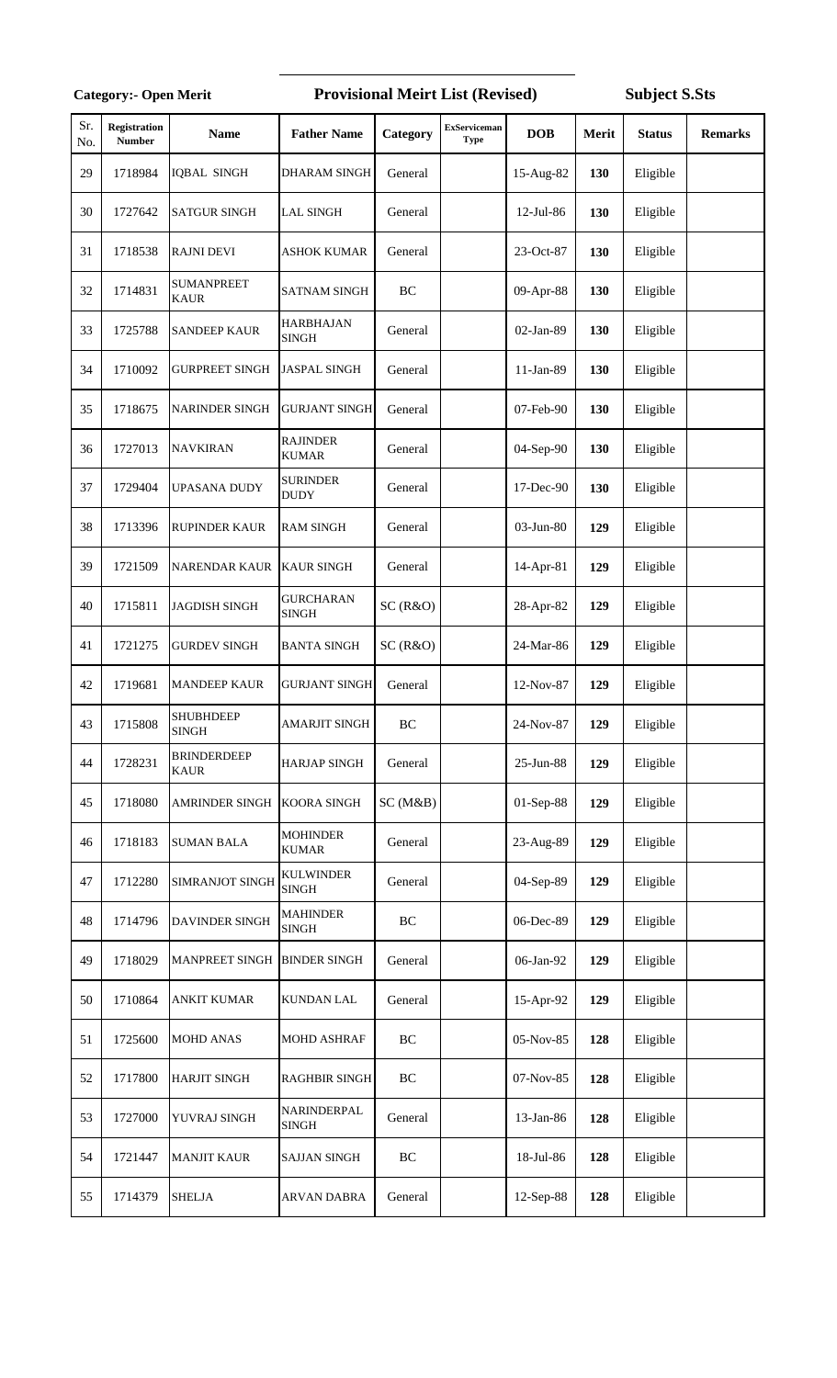## Provisional Meirt List (Revised) Subject S.Sts

| Sr.<br>No. | Registration<br><b>Number</b> | <b>Name</b>                       | <b>Father Name</b>               | Category  | <b>ExServiceman</b><br><b>Type</b> | <b>DOB</b> | Merit      | <b>Status</b> | <b>Remarks</b> |
|------------|-------------------------------|-----------------------------------|----------------------------------|-----------|------------------------------------|------------|------------|---------------|----------------|
| 29         | 1718984                       | <b>IQBAL SINGH</b>                | DHARAM SINGH                     | General   |                                    | 15-Aug-82  | <b>130</b> | Eligible      |                |
| 30         | 1727642                       | <b>SATGUR SINGH</b>               | <b>LAL SINGH</b>                 | General   |                                    | 12-Jul-86  | 130        | Eligible      |                |
| 31         | 1718538                       | <b>RAJNI DEVI</b>                 | <b>ASHOK KUMAR</b>               | General   |                                    | 23-Oct-87  | 130        | Eligible      |                |
| 32         | 1714831                       | <b>SUMANPREET</b><br><b>KAUR</b>  | <b>SATNAM SINGH</b>              | BC        |                                    | 09-Apr-88  | 130        | Eligible      |                |
| 33         | 1725788                       | <b>SANDEEP KAUR</b>               | <b>HARBHAJAN</b><br><b>SINGH</b> | General   |                                    | 02-Jan-89  | 130        | Eligible      |                |
| 34         | 1710092                       | <b>GURPREET SINGH</b>             | <b>JASPAL SINGH</b>              | General   |                                    | 11-Jan-89  | 130        | Eligible      |                |
| 35         | 1718675                       | <b>NARINDER SINGH</b>             | <b>GURJANT SINGH</b>             | General   |                                    | 07-Feb-90  | 130        | Eligible      |                |
| 36         | 1727013                       | <b>NAVKIRAN</b>                   | <b>RAJINDER</b><br><b>KUMAR</b>  | General   |                                    | 04-Sep-90  | 130        | Eligible      |                |
| 37         | 1729404                       | UPASANA DUDY                      | <b>SURINDER</b><br><b>DUDY</b>   | General   |                                    | 17-Dec-90  | 130        | Eligible      |                |
| 38         | 1713396                       | RUPINDER KAUR                     | <b>RAM SINGH</b>                 | General   |                                    | 03-Jun-80  | 129        | Eligible      |                |
| 39         | 1721509                       | <b>NARENDAR KAUR</b>              | <b>KAUR SINGH</b>                | General   |                                    | 14-Apr-81  | 129        | Eligible      |                |
| 40         | 1715811                       | <b>JAGDISH SINGH</b>              | <b>GURCHARAN</b><br><b>SINGH</b> | SC(R&O)   |                                    | 28-Apr-82  | 129        | Eligible      |                |
| 41         | 1721275                       | <b>GURDEV SINGH</b>               | <b>BANTA SINGH</b>               | SC(R&O)   |                                    | 24-Mar-86  | 129        | Eligible      |                |
| 42         | 1719681                       | <b>MANDEEP KAUR</b>               | <b>GURJANT SINGH</b>             | General   |                                    | 12-Nov-87  | 129        | Eligible      |                |
| 43         | 1715808                       | <b>SHUBHDEEP</b><br><b>SINGH</b>  | <b>AMARJIT SINGH</b>             | <b>BC</b> |                                    | 24-Nov-87  | 129        | Eligible      |                |
| 44         | 1728231                       | <b>BRINDERDEEP</b><br><b>KAUR</b> | <b>HARJAP SINGH</b>              | General   |                                    | 25-Jun-88  | 129        | Eligible      |                |
| 45         | 1718080                       | AMRINDER SINGH                    | <b>KOORA SINGH</b>               | SC(M&B)   |                                    | 01-Sep-88  | 129        | Eligible      |                |
| 46         | 1718183                       | <b>SUMAN BALA</b>                 | <b>MOHINDER</b><br><b>KUMAR</b>  | General   |                                    | 23-Aug-89  | 129        | Eligible      |                |
| 47         | 1712280                       | SIMRANJOT SINGH                   | <b>KULWINDER</b><br><b>SINGH</b> | General   |                                    | 04-Sep-89  | 129        | Eligible      |                |
| 48         | 1714796                       | DAVINDER SINGH                    | <b>MAHINDER</b><br><b>SINGH</b>  | BC        |                                    | 06-Dec-89  | 129        | Eligible      |                |
| 49         | 1718029                       | MANPREET SINGH                    | <b>BINDER SINGH</b>              | General   |                                    | 06-Jan-92  | 129        | Eligible      |                |
| 50         | 1710864                       | <b>ANKIT KUMAR</b>                | <b>KUNDAN LAL</b>                | General   |                                    | 15-Apr-92  | 129        | Eligible      |                |
| 51         | 1725600                       | <b>MOHD ANAS</b>                  | MOHD ASHRAF                      | BC        |                                    | 05-Nov-85  | 128        | Eligible      |                |
| 52         | 1717800                       | <b>HARJIT SINGH</b>               | <b>RAGHBIR SINGH</b>             | BC        |                                    | 07-Nov-85  | 128        | Eligible      |                |
| 53         | 1727000                       | YUVRAJ SINGH                      | NARINDERPAL<br><b>SINGH</b>      | General   |                                    | 13-Jan-86  | 128        | Eligible      |                |
| 54         | 1721447                       | <b>MANJIT KAUR</b>                | <b>SAJJAN SINGH</b>              | BC        |                                    | 18-Jul-86  | 128        | Eligible      |                |
| 55         | 1714379                       | <b>SHELJA</b>                     | ARVAN DABRA                      | General   |                                    | 12-Sep-88  | 128        | Eligible      |                |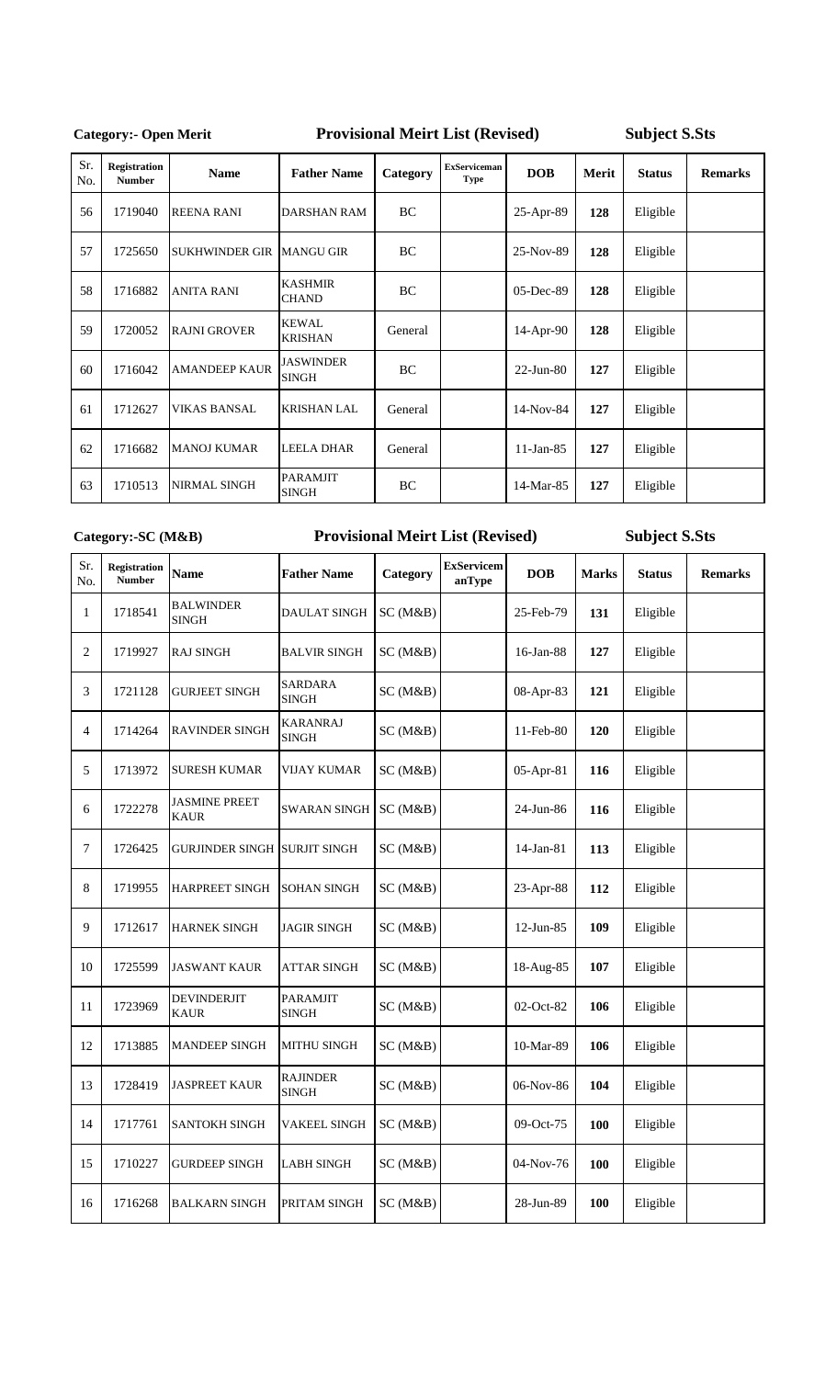## **Category:- Open Merit**

## **Provisional Meirt List (Revised) Subject S.Sts**

| Sr.<br>No. | <b>Registration</b><br><b>Number</b> | <b>Name</b>           | <b>Father Name</b>               | Category  | <b>ExServiceman</b><br><b>Type</b> | DOB          | Merit | <b>Status</b> | <b>Remarks</b> |
|------------|--------------------------------------|-----------------------|----------------------------------|-----------|------------------------------------|--------------|-------|---------------|----------------|
| 56         | 1719040                              | <b>REENA RANI</b>     | <b>DARSHAN RAM</b>               | BC        |                                    | 25-Apr-89    | 128   | Eligible      |                |
| 57         | 1725650                              | <b>SUKHWINDER GIR</b> | <b>MANGU GIR</b>                 | <b>BC</b> |                                    | 25-Nov-89    | 128   | Eligible      |                |
| 58         | 1716882                              | <b>ANITA RANI</b>     | <b>KASHMIR</b><br><b>CHAND</b>   | BC        |                                    | 05-Dec-89    | 128   | Eligible      |                |
| 59         | 1720052                              | <b>RAJNI GROVER</b>   | <b>KEWAL</b><br><b>KRISHAN</b>   | General   |                                    | 14-Apr-90    | 128   | Eligible      |                |
| 60         | 1716042                              | <b>AMANDEEP KAUR</b>  | <b>JASWINDER</b><br><b>SINGH</b> | <b>BC</b> |                                    | $22$ -Jun-80 | 127   | Eligible      |                |
| 61         | 1712627                              | VIKAS BANSAL          | <b>KRISHAN LAL</b>               | General   |                                    | 14-Nov-84    | 127   | Eligible      |                |
| 62         | 1716682                              | <b>MANOJ KUMAR</b>    | <b>LEELA DHAR</b>                | General   |                                    | $11$ -Jan-85 | 127   | Eligible      |                |
| 63         | 1710513                              | NIRMAL SINGH          | <b>PARAMJIT</b><br><b>SINGH</b>  | BC        |                                    | 14-Mar-85    | 127   | Eligible      |                |

**Category:-SC (M&B)** 

## **Provisional Meirt List (Revised)**

| Sr.<br>No.     | <b>Registration</b><br><b>Number</b> | <b>Name</b>                         | <b>Father Name</b>              | Category | <b>ExServicem</b><br>anType | <b>DOB</b>   | <b>Marks</b> | <b>Status</b> | <b>Remarks</b> |
|----------------|--------------------------------------|-------------------------------------|---------------------------------|----------|-----------------------------|--------------|--------------|---------------|----------------|
| 1              | 1718541                              | BALWINDER<br><b>SINGH</b>           | <b>DAULAT SINGH</b>             | SC(M&B)  |                             | 25-Feb-79    | 131          | Eligible      |                |
| $\overline{2}$ | 1719927                              | <b>RAJ SINGH</b>                    | <b>BALVIR SINGH</b>             | SC(M&B)  |                             | 16-Jan-88    | 127          | Eligible      |                |
| 3              | 1721128                              | <b>GURJEET SINGH</b>                | <b>SARDARA</b><br><b>SINGH</b>  | SC(M&B)  |                             | 08-Apr-83    | 121          | Eligible      |                |
| 4              | 1714264                              | <b>RAVINDER SINGH</b>               | <b>KARANRAJ</b><br><b>SINGH</b> | SC (M&B) |                             | 11-Feb-80    | 120          | Eligible      |                |
| 5              | 1713972                              | <b>SURESH KUMAR</b>                 | VIJAY KUMAR                     | SC(M&B)  |                             | 05-Apr-81    | 116          | Eligible      |                |
| 6              | 1722278                              | <b>JASMINE PREET</b><br><b>KAUR</b> | <b>SWARAN SINGH</b>             | SC(M&B)  |                             | 24-Jun-86    | 116          | Eligible      |                |
| 7              | 1726425                              | GURJINDER SINGH  SURJIT SINGH       |                                 | SC (M&B) |                             | 14-Jan-81    | 113          | Eligible      |                |
| 8              | 1719955                              | <b>HARPREET SINGH</b>               | <b>SOHAN SINGH</b>              | SC(M&B)  |                             | 23-Apr-88    | 112          | Eligible      |                |
| 9              | 1712617                              | HARNEK SINGH                        | <b>JAGIR SINGH</b>              | SC(M&B)  |                             | $12$ -Jun-85 | 109          | Eligible      |                |
| 10             | 1725599                              | <b>JASWANT KAUR</b>                 | <b>ATTAR SINGH</b>              | SC(M&B)  |                             | 18-Aug-85    | 107          | Eligible      |                |
| 11             | 1723969                              | <b>DEVINDERJIT</b><br><b>KAUR</b>   | <b>PARAMJIT</b><br><b>SINGH</b> | SC(M&B)  |                             | 02-Oct-82    | 106          | Eligible      |                |
| 12             | 1713885                              | <b>MANDEEP SINGH</b>                | <b>MITHU SINGH</b>              | SC(M&B)  |                             | 10-Mar-89    | 106          | Eligible      |                |
| 13             | 1728419                              | <b>JASPREET KAUR</b>                | <b>RAJINDER</b><br><b>SINGH</b> | SC(M&B)  |                             | 06-Nov-86    | 104          | Eligible      |                |
| 14             | 1717761                              | <b>SANTOKH SINGH</b>                | <b>VAKEEL SINGH</b>             | SC(M&B)  |                             | 09-Oct-75    | 100          | Eligible      |                |
| 15             | 1710227                              | <b>GURDEEP SINGH</b>                | <b>LABH SINGH</b>               | SC(M&B)  |                             | 04-Nov-76    | 100          | Eligible      |                |
| 16             | 1716268                              | <b>BALKARN SINGH</b>                | PRITAM SINGH                    | SC(M&B)  |                             | 28-Jun-89    | <b>100</b>   | Eligible      |                |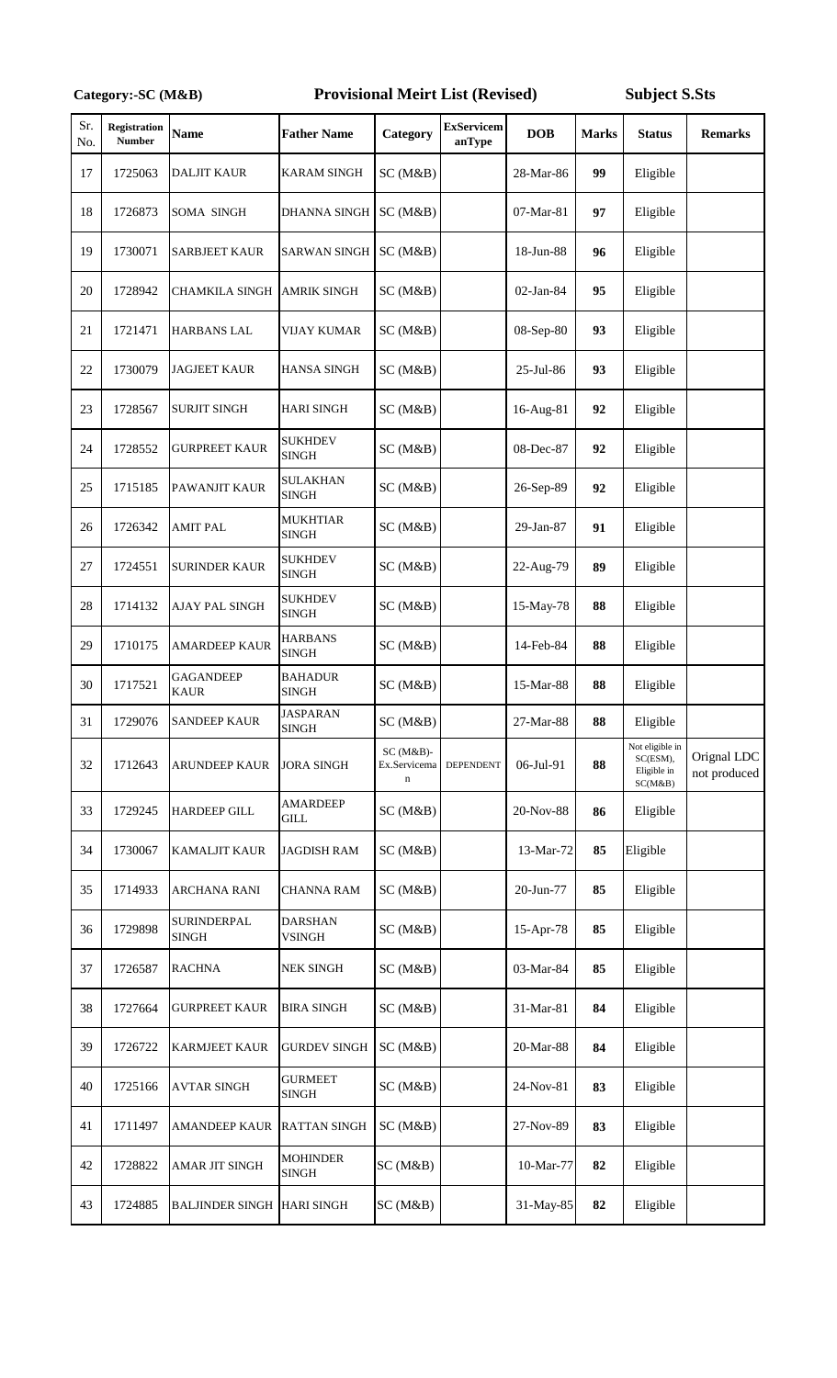## Provisional Meirt List (Revised) Subject S.Sts

| Sr.<br>No. | Registration<br><b>Number</b> | <b>Name</b>                       | <b>Father Name</b>              | Category                                   | <b>ExServicem</b><br>anType | <b>DOB</b> | <b>Marks</b> | <b>Status</b>                                         | <b>Remarks</b>              |
|------------|-------------------------------|-----------------------------------|---------------------------------|--------------------------------------------|-----------------------------|------------|--------------|-------------------------------------------------------|-----------------------------|
| 17         | 1725063                       | <b>DALJIT KAUR</b>                | <b>KARAM SINGH</b>              | SC(M&B)                                    |                             | 28-Mar-86  | 99           | Eligible                                              |                             |
| 18         | 1726873                       | SOMA SINGH                        | <b>DHANNA SINGH</b>             | SC(M&B)                                    |                             | 07-Mar-81  | 97           | Eligible                                              |                             |
| 19         | 1730071                       | <b>SARBJEET KAUR</b>              | <b>SARWAN SINGH</b>             | SC(M&B)                                    |                             | 18-Jun-88  | 96           | Eligible                                              |                             |
| 20         | 1728942                       | <b>CHAMKILA SINGH</b>             | <b>AMRIK SINGH</b>              | SC(M&B)                                    |                             | 02-Jan-84  | 95           | Eligible                                              |                             |
| 21         | 1721471                       | <b>HARBANS LAL</b>                | <b>VIJAY KUMAR</b>              | SC(M&B)                                    |                             | 08-Sep-80  | 93           | Eligible                                              |                             |
| 22         | 1730079                       | <b>JAGJEET KAUR</b>               | <b>HANSA SINGH</b>              | SC(M&B)                                    |                             | 25-Jul-86  | 93           | Eligible                                              |                             |
| 23         | 1728567                       | <b>SURJIT SINGH</b>               | <b>HARI SINGH</b>               | SC(M&B)                                    |                             | 16-Aug-81  | 92           | Eligible                                              |                             |
| 24         | 1728552                       | <b>GURPREET KAUR</b>              | <b>SUKHDEV</b><br><b>SINGH</b>  | SC(M&B)                                    |                             | 08-Dec-87  | 92           | Eligible                                              |                             |
| 25         | 1715185                       | PAWANJIT KAUR                     | <b>SULAKHAN</b><br><b>SINGH</b> | SC(M&B)                                    |                             | 26-Sep-89  | 92           | Eligible                                              |                             |
| 26         | 1726342                       | <b>AMIT PAL</b>                   | <b>MUKHTIAR</b><br><b>SINGH</b> | SC(M&B)                                    |                             | 29-Jan-87  | 91           | Eligible                                              |                             |
| 27         | 1724551                       | <b>SURINDER KAUR</b>              | <b>SUKHDEV</b><br><b>SINGH</b>  | SC(M&B)                                    |                             | 22-Aug-79  | 89           | Eligible                                              |                             |
| 28         | 1714132                       | AJAY PAL SINGH                    | <b>SUKHDEV</b><br><b>SINGH</b>  | SC(M&B)                                    |                             | 15-May-78  | 88           | Eligible                                              |                             |
| 29         | 1710175                       | <b>AMARDEEP KAUR</b>              | <b>HARBANS</b><br><b>SINGH</b>  | SC(M&B)                                    |                             | 14-Feb-84  | 88           | Eligible                                              |                             |
| 30         | 1717521                       | <b>GAGANDEEP</b><br><b>KAUR</b>   | <b>BAHADUR</b><br>SINGH         | SC (M&B)                                   |                             | 15-Mar-88  | 88           | Eligible                                              |                             |
| 31         | 1729076                       | <b>SANDEEP KAUR</b>               | <b>JASPARAN</b><br><b>SINGH</b> | SC (M&B)                                   |                             | 27-Mar-88  | 88           | Eligible                                              |                             |
| 32         | 1712643                       | ARUNDEEP KAUR                     | <b>JORA SINGH</b>               | $SC(M&B)$ -<br>Ex.Servicema<br>$\mathbf n$ | DEPENDENT                   | 06-Jul-91  | 88           | Not eligible in<br>SC(ESM),<br>Eligible in<br>SC(M&B) | Orignal LDC<br>not produced |
| 33         | 1729245                       | <b>HARDEEP GILL</b>               | <b>AMARDEEP</b><br>GILL         | SC(M&B)                                    |                             | 20-Nov-88  | 86           | Eligible                                              |                             |
| 34         | 1730067                       | <b>KAMALJIT KAUR</b>              | <b>JAGDISH RAM</b>              | SC (M&B)                                   |                             | 13-Mar-72  | 85           | Eligible                                              |                             |
| 35         | 1714933                       | <b>ARCHANA RANI</b>               | <b>CHANNA RAM</b>               | SC(M&B)                                    |                             | 20-Jun-77  | 85           | Eligible                                              |                             |
| 36         | 1729898                       | SURINDERPAL<br><b>SINGH</b>       | <b>DARSHAN</b><br>VSINGH        | SC(M&B)                                    |                             | 15-Apr-78  | 85           | Eligible                                              |                             |
| 37         | 1726587                       | <b>RACHNA</b>                     | <b>NEK SINGH</b>                | SC(M&B)                                    |                             | 03-Mar-84  | 85           | Eligible                                              |                             |
| 38         | 1727664                       | <b>GURPREET KAUR</b>              | <b>BIRA SINGH</b>               | SC(M&B)                                    |                             | 31-Mar-81  | 84           | Eligible                                              |                             |
| 39         | 1726722                       | KARMJEET KAUR                     | <b>GURDEV SINGH</b>             | SC(M&B)                                    |                             | 20-Mar-88  | 84           | Eligible                                              |                             |
| 40         | 1725166                       | <b>AVTAR SINGH</b>                | <b>GURMEET</b><br>SINGH         | SC(M&B)                                    |                             | 24-Nov-81  | 83           | Eligible                                              |                             |
| 41         | 1711497                       | AMANDEEP KAUR                     | <b>RATTAN SINGH</b>             | SC(M&B)                                    |                             | 27-Nov-89  | 83           | Eligible                                              |                             |
| 42         | 1728822                       | AMAR JIT SINGH                    | <b>MOHINDER</b><br><b>SINGH</b> | SC(M&B)                                    |                             | 10-Mar-77  | 82           | Eligible                                              |                             |
| 43         | 1724885                       | <b>BALJINDER SINGH HARI SINGH</b> |                                 | SC(M&B)                                    |                             | 31-May-85  | 82           | Eligible                                              |                             |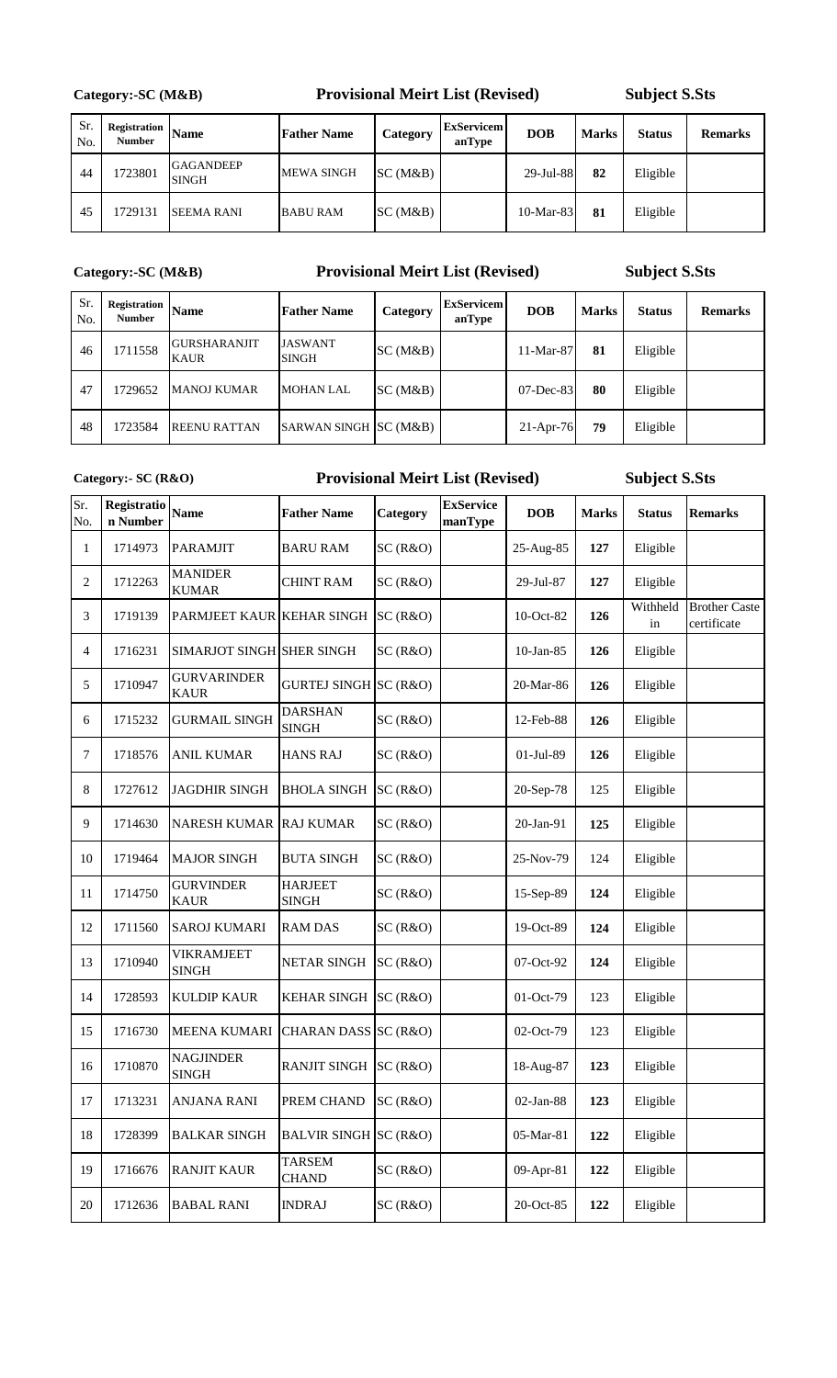**Category:-SC (M&B)** 

### **Provisional Meirt List (Revised)**

**Subject S.Sts**

| Sr.<br>No. | <b>Registration</b><br><b>Number</b> | <b>Name</b>               | <b>Father Name</b> | Category | <b>ExServicem</b><br>anType | <b>DOB</b> | <b>Marks</b> | <b>Status</b> | <b>Remarks</b> |
|------------|--------------------------------------|---------------------------|--------------------|----------|-----------------------------|------------|--------------|---------------|----------------|
| -44        | 1723801                              | <b>GAGANDEEP</b><br>SINGH | <b>MEWA SINGH</b>  | SC(M&B)  |                             | 29-Jul-88  | 82           | Eligible      |                |
| 45         | 1729131                              | <b>SEEMA RANI</b>         | <b>BABU RAM</b>    | SC(M&B)  |                             | 10-Mar-83  | 81           | Eligible      |                |

### **Category:-SC (M&B)**

### **Provisional Meirt List (Revised)**

**Subject S.Sts**

| Sr.<br>No. | Registration<br><b>Number</b> | <b>Name</b>                        | <b>Father Name</b>             | Category | <b>ExServicem</b><br>anType | <b>DOB</b>   | <b>Marks</b> | <b>Status</b> | <b>Remarks</b> |
|------------|-------------------------------|------------------------------------|--------------------------------|----------|-----------------------------|--------------|--------------|---------------|----------------|
| 46         | 1711558                       | <b>GURSHARANJIT</b><br><b>KAUR</b> | <b>JASWANT</b><br><b>SINGH</b> | SC(M&B)  |                             | $11-Mar-87$  | 81           | Eligible      |                |
| 47         | 1729652                       | <b>MANOJ KUMAR</b>                 | <b>MOHAN LAL</b>               | SC(M&B)  |                             | $07$ -Dec-83 | 80           | Eligible      |                |
| 48         | 1723584                       | <b>REENU RATTAN</b>                | SARWAN SINGH SC (M&B)          |          |                             | $21-Apr-76$  | 79           | Eligible      |                |

**Category:- SC (R&O)**

### **Provisional Meirt List (Revised)**

| Sr.<br>No. | Registratio<br>n Number | <b>Name</b>                       | <b>Father Name</b>             | Category | <b>ExService</b><br>manType | <b>DOB</b>   | <b>Marks</b> | <b>Status</b>  | <b>Remarks</b>                      |
|------------|-------------------------|-----------------------------------|--------------------------------|----------|-----------------------------|--------------|--------------|----------------|-------------------------------------|
| 1          | 1714973                 | <b>PARAMJIT</b>                   | <b>BARU RAM</b>                | SC(R&O)  |                             | 25-Aug-85    | 127          | Eligible       |                                     |
| 2          | 1712263                 | <b>MANIDER</b><br><b>KUMAR</b>    | <b>CHINT RAM</b>               | SC(R&O)  |                             | 29-Jul-87    | 127          | Eligible       |                                     |
| 3          | 1719139                 | PARMJEET KAUR KEHAR SINGH         |                                | SC(R&O)  |                             | 10-Oct-82    | 126          | Withheld<br>in | <b>Brother Caste</b><br>certificate |
| 4          | 1716231                 | SIMARJOT SINGH SHER SINGH         |                                | SC(R&O)  |                             | $10$ -Jan-85 | 126          | Eligible       |                                     |
| 5          | 1710947                 | <b>GURVARINDER</b><br><b>KAUR</b> | GURTEJ SINGH SC (R&O)          |          |                             | 20-Mar-86    | 126          | Eligible       |                                     |
| 6          | 1715232                 | <b>GURMAIL SINGH</b>              | <b>DARSHAN</b><br><b>SINGH</b> | SC(R&O)  |                             | 12-Feb-88    | 126          | Eligible       |                                     |
| 7          | 1718576                 | <b>ANIL KUMAR</b>                 | <b>HANS RAJ</b>                | SC(R&O)  |                             | 01-Jul-89    | 126          | Eligible       |                                     |
| 8          | 1727612                 | <b>JAGDHIR SINGH</b>              | <b>BHOLA SINGH</b>             | SC(R&O)  |                             | 20-Sep-78    | 125          | Eligible       |                                     |
| 9          | 1714630                 | <b>NARESH KUMAR RAJ KUMAR</b>     |                                | SC(R&O)  |                             | 20-Jan-91    | 125          | Eligible       |                                     |
| 10         | 1719464                 | <b>MAJOR SINGH</b>                | <b>BUTA SINGH</b>              | SC(R&O)  |                             | 25-Nov-79    | 124          | Eligible       |                                     |
| 11         | 1714750                 | <b>GURVINDER</b><br><b>KAUR</b>   | <b>HARJEET</b><br><b>SINGH</b> | SC(R&O)  |                             | 15-Sep-89    | 124          | Eligible       |                                     |
| 12         | 1711560                 | <b>SAROJ KUMARI</b>               | <b>RAM DAS</b>                 | SC(R&O)  |                             | 19-Oct-89    | 124          | Eligible       |                                     |
| 13         | 1710940                 | VIKRAMJEET<br><b>SINGH</b>        | <b>NETAR SINGH</b>             | SC(R&O)  |                             | 07-Oct-92    | 124          | Eligible       |                                     |
| 14         | 1728593                 | <b>KULDIP KAUR</b>                | <b>KEHAR SINGH</b>             | SC(R&O)  |                             | 01-Oct-79    | 123          | Eligible       |                                     |
| 15         | 1716730                 | <b>MEENA KUMARI</b>               | CHARAN DASS SC (R&O)           |          |                             | 02-Oct-79    | 123          | Eligible       |                                     |
| 16         | 1710870                 | <b>NAGJINDER</b><br><b>SINGH</b>  | <b>RANJIT SINGH</b>            | SC(R&O)  |                             | 18-Aug-87    | 123          | Eligible       |                                     |
| 17         | 1713231                 | <b>ANJANA RANI</b>                | PREM CHAND                     | SC(R&O)  |                             | 02-Jan-88    | 123          | Eligible       |                                     |
| $18\,$     | 1728399                 | <b>BALKAR SINGH</b>               | BALVIR SINGH SC (R&O)          |          |                             | 05-Mar-81    | 122          | Eligible       |                                     |
| 19         | 1716676                 | <b>RANJIT KAUR</b>                | <b>TARSEM</b><br><b>CHAND</b>  | SC(R&O)  |                             | 09-Apr-81    | 122          | Eligible       |                                     |
| 20         | 1712636                 | <b>BABAL RANI</b>                 | <b>INDRAJ</b>                  | SC(R&O)  |                             | 20-Oct-85    | 122          | Eligible       |                                     |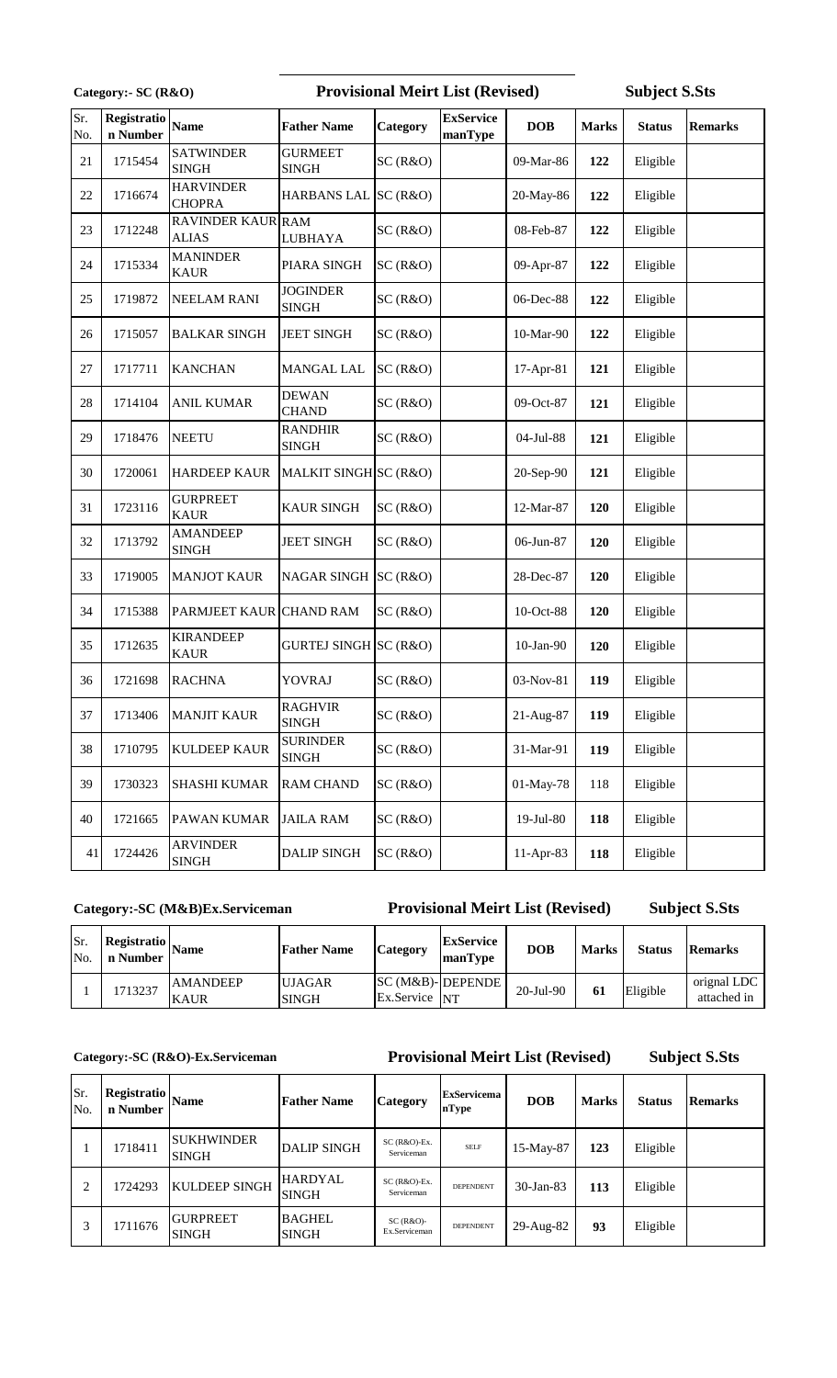| Category:- SC (R&O) |                         |                                          |                                 | <b>Provisional Meirt List (Revised)</b> |                             |            |              | <b>Subject S.Sts</b> |                |  |
|---------------------|-------------------------|------------------------------------------|---------------------------------|-----------------------------------------|-----------------------------|------------|--------------|----------------------|----------------|--|
| Sr.<br>No.          | Registratio<br>n Number | <b>Name</b>                              | <b>Father Name</b>              | Category                                | <b>ExService</b><br>manType | <b>DOB</b> | <b>Marks</b> | <b>Status</b>        | <b>Remarks</b> |  |
| 21                  | 1715454                 | <b>SATWINDER</b><br><b>SINGH</b>         | <b>GURMEET</b><br><b>SINGH</b>  | SC(R&O)                                 |                             | 09-Mar-86  | 122          | Eligible             |                |  |
| $22\,$              | 1716674                 | <b>HARVINDER</b><br><b>CHOPRA</b>        | <b>HARBANS LAL</b>              | SC(R&O)                                 |                             | 20-May-86  | 122          | Eligible             |                |  |
| 23                  | 1712248                 | <b>RAVINDER KAUR RAM</b><br><b>ALIAS</b> | <b>LUBHAYA</b>                  | SC(R&O)                                 |                             | 08-Feb-87  | 122          | Eligible             |                |  |
| 24                  | 1715334                 | <b>MANINDER</b><br><b>KAUR</b>           | PIARA SINGH                     | SC(R&O)                                 |                             | 09-Apr-87  | 122          | Eligible             |                |  |
| 25                  | 1719872                 | <b>NEELAM RANI</b>                       | <b>JOGINDER</b><br><b>SINGH</b> | SC(R&O)                                 |                             | 06-Dec-88  | 122          | Eligible             |                |  |
| 26                  | 1715057                 | <b>BALKAR SINGH</b>                      | <b>JEET SINGH</b>               | SC(R&O)                                 |                             | 10-Mar-90  | 122          | Eligible             |                |  |
| 27                  | 1717711                 | <b>KANCHAN</b>                           | MANGAL LAL                      | SC(R&O)                                 |                             | 17-Apr-81  | 121          | Eligible             |                |  |
| 28                  | 1714104                 | <b>ANIL KUMAR</b>                        | <b>DEWAN</b><br><b>CHAND</b>    | SC(R&O)                                 |                             | 09-Oct-87  | 121          | Eligible             |                |  |
| 29                  | 1718476                 | <b>NEETU</b>                             | <b>RANDHIR</b><br><b>SINGH</b>  | SC(R&O)                                 |                             | 04-Jul-88  | 121          | Eligible             |                |  |
| 30                  | 1720061                 | <b>HARDEEP KAUR</b>                      | MALKIT SINGH SC (R&O)           |                                         |                             | 20-Sep-90  | 121          | Eligible             |                |  |
| 31                  | 1723116                 | <b>GURPREET</b><br><b>KAUR</b>           | <b>KAUR SINGH</b>               | SC(R&O)                                 |                             | 12-Mar-87  | 120          | Eligible             |                |  |
| 32                  | 1713792                 | <b>AMANDEEP</b><br><b>SINGH</b>          | <b>JEET SINGH</b>               | SC(R&O)                                 |                             | 06-Jun-87  | 120          | Eligible             |                |  |
| 33                  | 1719005                 | <b>MANJOT KAUR</b>                       | NAGAR SINGH SC (R&O)            |                                         |                             | 28-Dec-87  | 120          | Eligible             |                |  |
| 34                  | 1715388                 | PARMJEET KAUR CHAND RAM                  |                                 | SC(R&O)                                 |                             | 10-Oct-88  | 120          | Eligible             |                |  |
| 35                  | 1712635                 | <b>KIRANDEEP</b><br><b>KAUR</b>          | GURTEJ SINGH SC (R&O)           |                                         |                             | 10-Jan-90  | 120          | Eligible             |                |  |
| 36                  | 1721698                 | <b>RACHNA</b>                            | YOVRAJ                          | SC(R&O)                                 |                             | 03-Nov-81  | 119          | Eligible             |                |  |
| 37                  | 1713406                 | <b>MANJIT KAUR</b>                       | <b>RAGHVIR</b><br><b>SINGH</b>  | SC(R&O)                                 |                             | 21-Aug-87  | 119          | Eligible             |                |  |
| 38                  | 1710795                 | <b>KULDEEP KAUR</b>                      | <b>SURINDER</b><br><b>SINGH</b> | SC(R&O)                                 |                             | 31-Mar-91  | 119          | Eligible             |                |  |
| 39                  | 1730323                 | <b>SHASHI KUMAR</b>                      | <b>RAM CHAND</b>                | SC(R&O)                                 |                             | 01-May-78  | 118          | Eligible             |                |  |
| 40                  | 1721665                 | PAWAN KUMAR                              | <b>JAILA RAM</b>                | SC(R&O)                                 |                             | 19-Jul-80  | 118          | Eligible             |                |  |
| 41                  | 1724426                 | <b>ARVINDER</b><br><b>SINGH</b>          | <b>DALIP SINGH</b>              | SC(R&O)                                 |                             | 11-Apr-83  | 118          | Eligible             |                |  |

### **Category:-SC (M&B)Ex.Serviceman**

## **Provisional Meirt List (Revised)**

**Subject S.Sts**

| No. | n Number | $\frac{1 \text{ Register}}{\text{Ber}}$ Name | <b>Father Name</b>            | Category      | <b>ExService</b><br>manType | <b>DOB</b> | <b>Marks</b> | <b>Status</b> | Remarks                    |
|-----|----------|----------------------------------------------|-------------------------------|---------------|-----------------------------|------------|--------------|---------------|----------------------------|
|     | 1713237  | <b>AMANDEEP</b><br><b>KAUR</b>               | <b>UJAGAR</b><br><b>SINGH</b> | Ex.Service NT | SC (M&B)-DEPENDE            | 20-Jul-90  | 61           | Eligible      | orignal LDC<br>attached in |

**Category:-SC (R&O)-Ex.Serviceman**

### **Provisional Meirt List (Revised)**

| Sr.<br>No. | Registratio<br>n Number | <b>Name</b>                       | <b>Father Name</b>             | <b>Category</b>              | <b>ExServicema</b><br>nType | <b>DOB</b>      | <b>Marks</b> | <b>Status</b> | <b>Remarks</b> |
|------------|-------------------------|-----------------------------------|--------------------------------|------------------------------|-----------------------------|-----------------|--------------|---------------|----------------|
|            | 1718411                 | <b>SUKHWINDER</b><br><b>SINGH</b> | <b>DALIP SINGH</b>             | $SC(R&O)$ -Ex.<br>Serviceman | <b>SELF</b>                 | 15-May-87       | 123          | Eligible      |                |
| 2          | 1724293                 | <b>KULDEEP SINGH</b>              | <b>HARDYAL</b><br><b>SINGH</b> | $SC(R&O)$ -Ex.<br>Serviceman | <b>DEPENDENT</b>            | $30-Ian-83$     | 113          | Eligible      |                |
| 3          | 1711676                 | <b>GURPREET</b><br><b>SINGH</b>   | <b>BAGHEL</b><br><b>SINGH</b>  | $SC(R&O)$ -<br>Ex.Serviceman | <b>DEPENDENT</b>            | $29$ -Aug- $82$ | 93           | Eligible      |                |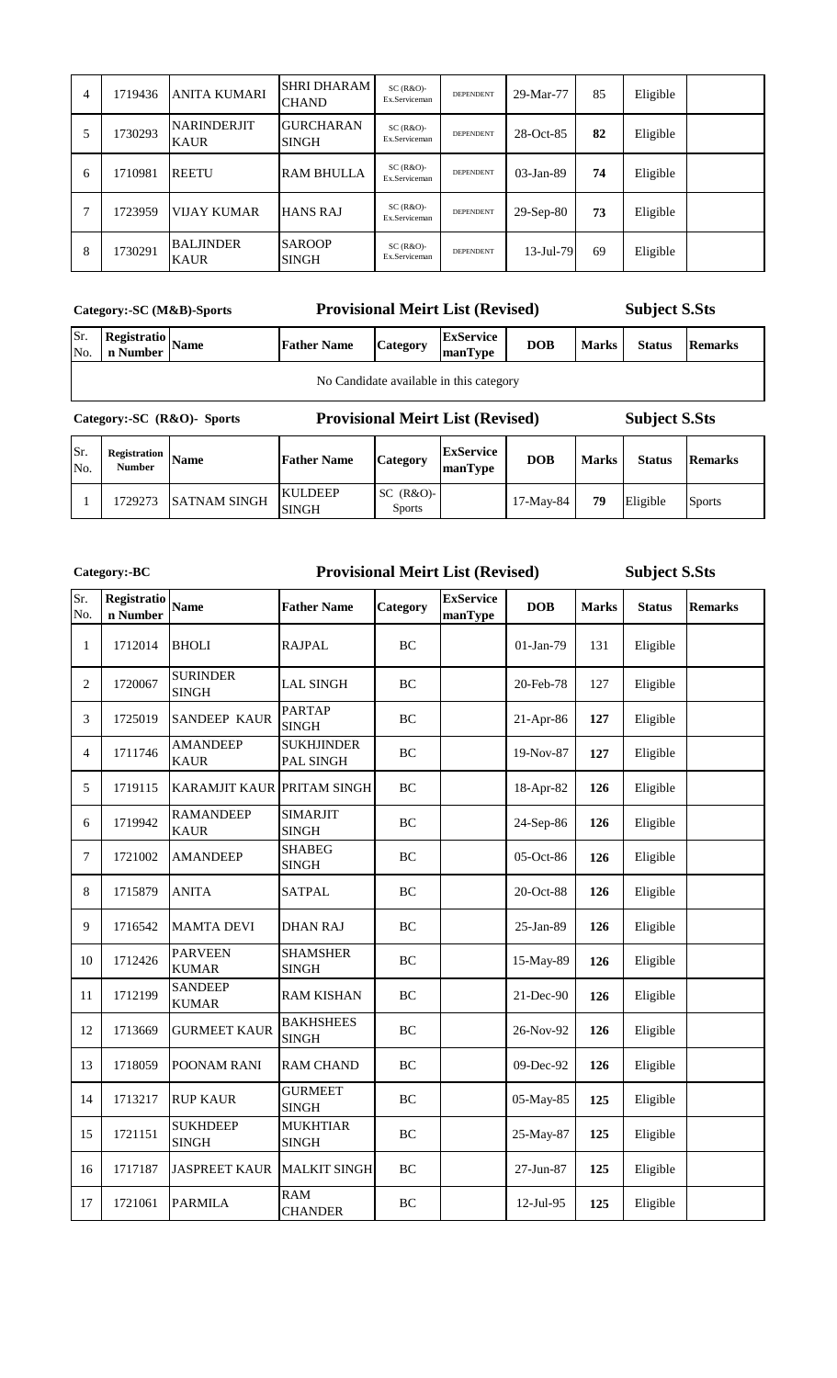| 4 | 1719436 | <b>ANITA KUMARI</b>               | <b>SHRI DHARAM</b><br><b>CHAND</b> | $SC(R&O)$ -<br>Ex.Serviceman | <b>DEPENDENT</b> | 29-Mar-77       | 85 | Eligible |  |
|---|---------|-----------------------------------|------------------------------------|------------------------------|------------------|-----------------|----|----------|--|
| 5 | 1730293 | <b>NARINDERJIT</b><br><b>KAUR</b> | <b>GURCHARAN</b><br><b>SINGH</b>   | $SC(R&O)$ -<br>Ex.Serviceman | <b>DEPENDENT</b> | 28-Oct-85       | 82 | Eligible |  |
| 6 | 1710981 | <b>REETU</b>                      | <b>RAM BHULLA</b>                  | $SC(R&O)$ -<br>Ex.Serviceman | DEPENDENT        | $03$ -Jan-89    | 74 | Eligible |  |
|   | 1723959 | <b>VIJAY KUMAR</b>                | <b>HANS RAJ</b>                    | $SC(R&O)-$<br>Ex.Serviceman  | <b>DEPENDENT</b> | $29-Sep-80$     | 73 | Eligible |  |
| 8 | 1730291 | <b>BALJINDER</b><br><b>KAUR</b>   | <b>SAROOP</b><br><b>SINGH</b>      | $SC(R&O)$ -<br>Ex.Serviceman | <b>DEPENDENT</b> | $13 - Jul - 79$ | 69 | Eligible |  |

**Category:-SC (M&B)-Sports**

**Category:-BC**

### **Provisional Meirt List (Revised)**

**Subject S.Sts**

| Category:-SC (R&O)- Sports |                                            |  | <b>Provisional Meirt List (Revised)</b> |                 |                             |            |              | <b>Subject S.Sts</b> |                |  |  |
|----------------------------|--------------------------------------------|--|-----------------------------------------|-----------------|-----------------------------|------------|--------------|----------------------|----------------|--|--|
|                            | No Candidate available in this category    |  |                                         |                 |                             |            |              |                      |                |  |  |
| Sr.<br>No.                 | $\frac{1}{2}$ Registratio Name<br>n Number |  | <b>Father Name</b>                      | <b>Category</b> | <b>ExService</b><br>manType | <b>DOB</b> | <b>Marks</b> | <b>Status</b>        | <b>Remarks</b> |  |  |

#### **Provisional Meirt List (Revised)**

Sr. No. **Registration Name Father Name Category ExService manType DOB Marks Status Remarks** 1 1729273 SATNAM SINGH KULDEEP SINGH SC (R&O)- Sports 17-May-84 **79** Eligible Sports

# **Provisional Meirt List (Revised)**

| Sr.<br>No.     | Registratio<br>n Number | <b>Name</b>                     | <b>Father Name</b>               | Category  | <b>ExService</b><br>manType | <b>DOB</b> | <b>Marks</b> | <b>Status</b> | <b>Remarks</b> |
|----------------|-------------------------|---------------------------------|----------------------------------|-----------|-----------------------------|------------|--------------|---------------|----------------|
| 1              | 1712014                 | <b>BHOLI</b>                    | <b>RAJPAL</b>                    | BC        |                             | 01-Jan-79  | 131          | Eligible      |                |
| 2              | 1720067                 | <b>SURINDER</b><br><b>SINGH</b> | <b>LAL SINGH</b>                 | <b>BC</b> |                             | 20-Feb-78  | 127          | Eligible      |                |
| 3              | 1725019                 | SANDEEP KAUR                    | <b>PARTAP</b><br><b>SINGH</b>    | <b>BC</b> |                             | 21-Apr-86  | 127          | Eligible      |                |
| $\overline{4}$ | 1711746                 | <b>AMANDEEP</b><br><b>KAUR</b>  | <b>SUKHJINDER</b><br>PAL SINGH   | <b>BC</b> |                             | 19-Nov-87  | 127          | Eligible      |                |
| 5              | 1719115                 | KARAMJIT KAUR PRITAM SINGH      |                                  | <b>BC</b> |                             | 18-Apr-82  | 126          | Eligible      |                |
| 6              | 1719942                 | <b>RAMANDEEP</b><br><b>KAUR</b> | <b>SIMARJIT</b><br><b>SINGH</b>  | <b>BC</b> |                             | 24-Sep-86  | 126          | Eligible      |                |
| 7              | 1721002                 | <b>AMANDEEP</b>                 | <b>SHABEG</b><br><b>SINGH</b>    | BC        |                             | 05-Oct-86  | 126          | Eligible      |                |
| 8              | 1715879                 | <b>ANITA</b>                    | <b>SATPAL</b>                    | BC        |                             | 20-Oct-88  | 126          | Eligible      |                |
| 9              | 1716542                 | <b>MAMTA DEVI</b>               | <b>DHAN RAJ</b>                  | BC        |                             | 25-Jan-89  | 126          | Eligible      |                |
| 10             | 1712426                 | <b>PARVEEN</b><br><b>KUMAR</b>  | <b>SHAMSHER</b><br><b>SINGH</b>  | BC        |                             | 15-May-89  | 126          | Eligible      |                |
| 11             | 1712199                 | <b>SANDEEP</b><br><b>KUMAR</b>  | <b>RAM KISHAN</b>                | BC        |                             | 21-Dec-90  | 126          | Eligible      |                |
| 12             | 1713669                 | <b>GURMEET KAUR</b>             | <b>BAKHSHEES</b><br><b>SINGH</b> | BC        |                             | 26-Nov-92  | 126          | Eligible      |                |
| 13             | 1718059                 | POONAM RANI                     | <b>RAM CHAND</b>                 | BC        |                             | 09-Dec-92  | 126          | Eligible      |                |
| 14             | 1713217                 | <b>RUP KAUR</b>                 | <b>GURMEET</b><br><b>SINGH</b>   | BC        |                             | 05-May-85  | 125          | Eligible      |                |
| 15             | 1721151                 | <b>SUKHDEEP</b><br><b>SINGH</b> | <b>MUKHTIAR</b><br><b>SINGH</b>  | BC        |                             | 25-May-87  | 125          | Eligible      |                |
| 16             | 1717187                 | <b>JASPREET KAUR</b>            | <b>MALKIT SINGH</b>              | BC        |                             | 27-Jun-87  | 125          | Eligible      |                |
| 17             | 1721061                 | <b>PARMILA</b>                  | <b>RAM</b><br><b>CHANDER</b>     | BC        |                             | 12-Jul-95  | 125          | Eligible      |                |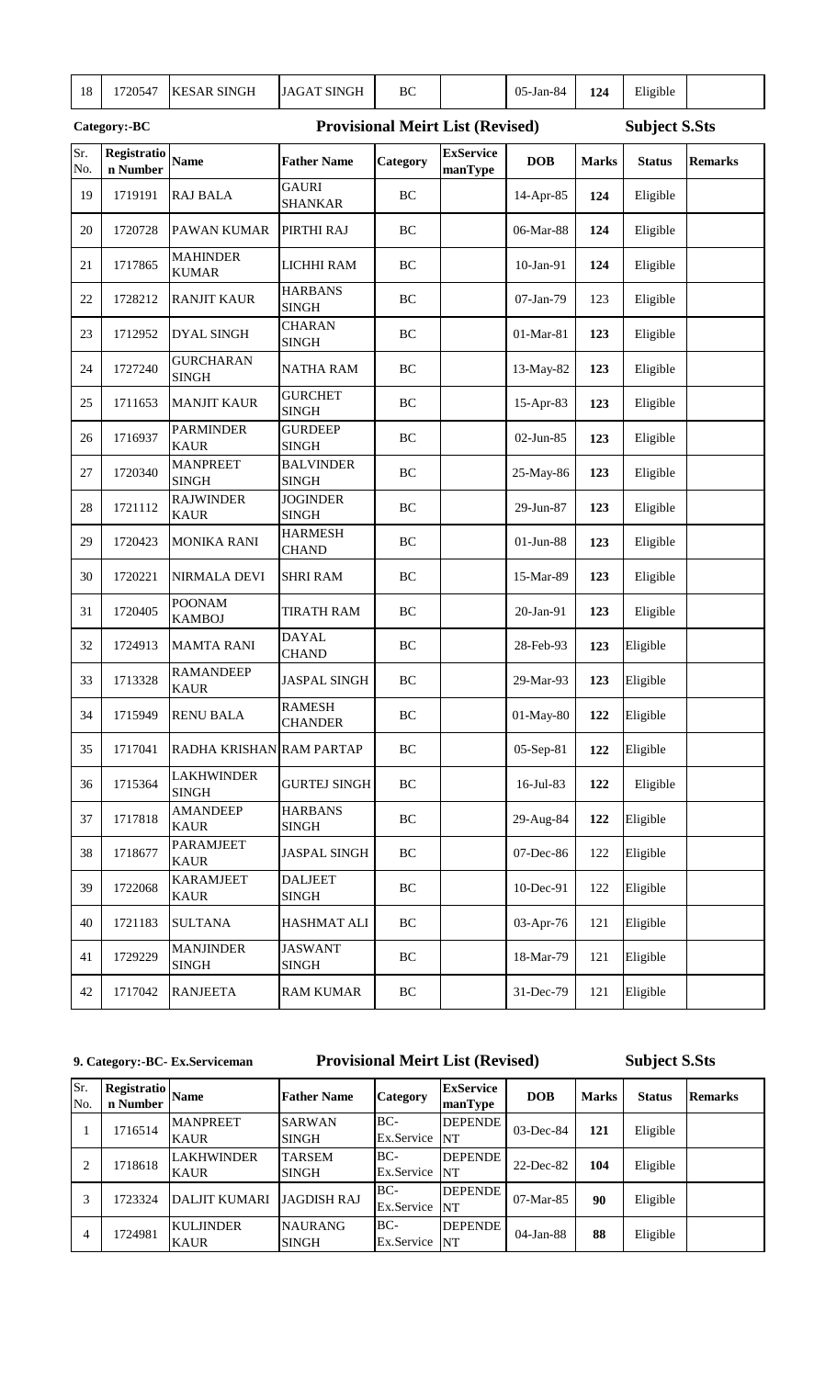| 18         | 1720547                 | <b>KESAR SINGH</b>                | <b>JAGAT SINGH</b>               | BC       |                                         | 05-Jan-84  | 124          | Eligible             |                |
|------------|-------------------------|-----------------------------------|----------------------------------|----------|-----------------------------------------|------------|--------------|----------------------|----------------|
|            | Category:-BC            |                                   |                                  |          | <b>Provisional Meirt List (Revised)</b> |            |              | <b>Subject S.Sts</b> |                |
| Sr.<br>No. | Registratio<br>n Number | <b>Name</b>                       | <b>Father Name</b>               | Category | <b>ExService</b><br>manType             | <b>DOB</b> | <b>Marks</b> | <b>Status</b>        | <b>Remarks</b> |
| 19         | 1719191                 | <b>RAJ BALA</b>                   | <b>GAURI</b><br><b>SHANKAR</b>   | BC       |                                         | 14-Apr-85  | 124          | Eligible             |                |
| 20         | 1720728                 | <b>PAWAN KUMAR</b>                | PIRTHI RAJ                       | BC       |                                         | 06-Mar-88  | 124          | Eligible             |                |
| 21         | 1717865                 | <b>MAHINDER</b><br><b>KUMAR</b>   | LICHHI RAM                       | BC       |                                         | 10-Jan-91  | 124          | Eligible             |                |
| 22         | 1728212                 | <b>RANJIT KAUR</b>                | <b>HARBANS</b><br><b>SINGH</b>   | BC       |                                         | 07-Jan-79  | 123          | Eligible             |                |
| 23         | 1712952                 | <b>DYAL SINGH</b>                 | <b>CHARAN</b><br><b>SINGH</b>    | BC       |                                         | 01-Mar-81  | 123          | Eligible             |                |
| 24         | 1727240                 | <b>GURCHARAN</b><br><b>SINGH</b>  | <b>NATHA RAM</b>                 | BC       |                                         | 13-May-82  | 123          | Eligible             |                |
| 25         | 1711653                 | <b>MANJIT KAUR</b>                | <b>GURCHET</b><br><b>SINGH</b>   | BC       |                                         | 15-Apr-83  | 123          | Eligible             |                |
| 26         | 1716937                 | <b>PARMINDER</b><br><b>KAUR</b>   | <b>GURDEEP</b><br><b>SINGH</b>   | BC       |                                         | 02-Jun-85  | 123          | Eligible             |                |
| 27         | 1720340                 | <b>MANPREET</b><br><b>SINGH</b>   | <b>BALVINDER</b><br><b>SINGH</b> | BC       |                                         | 25-May-86  | 123          | Eligible             |                |
| 28         | 1721112                 | <b>RAJWINDER</b><br><b>KAUR</b>   | <b>JOGINDER</b><br><b>SINGH</b>  | BC       |                                         | 29-Jun-87  | 123          | Eligible             |                |
| 29         | 1720423                 | <b>MONIKA RANI</b>                | <b>HARMESH</b><br><b>CHAND</b>   | BC       |                                         | 01-Jun-88  | 123          | Eligible             |                |
| 30         | 1720221                 | <b>NIRMALA DEVI</b>               | <b>SHRI RAM</b>                  | BC       |                                         | 15-Mar-89  | 123          | Eligible             |                |
| 31         | 1720405                 | <b>POONAM</b><br><b>KAMBOJ</b>    | <b>TIRATH RAM</b>                | BC       |                                         | 20-Jan-91  | 123          | Eligible             |                |
| 32         | 1724913                 | <b>MAMTA RANI</b>                 | <b>DAYAL</b><br><b>CHAND</b>     | BC       |                                         | 28-Feb-93  | 123          | Eligible             |                |
| 33         | 1713328                 | <b>RAMANDEEP</b><br><b>KAUR</b>   | <b>JASPAL SINGH</b>              | BC       |                                         | 29-Mar-93  | 123          | Eligible             |                |
| 34         | 1715949                 | <b>RENU BALA</b>                  | <b>RAMESH</b><br><b>CHANDER</b>  | BC       |                                         | 01-May-80  | 122          | Eligible             |                |
| 35         | 1717041                 | RADHA KRISHAN RAM PARTAP          |                                  | BC       |                                         | 05-Sep-81  | 122          | Eligible             |                |
| 36         | 1715364                 | <b>LAKHWINDER</b><br><b>SINGH</b> | <b>GURTEJ SINGH</b>              | $\rm BC$ |                                         | 16-Jul-83  | 122          | Eligible             |                |
| 37         | 1717818                 | <b>AMANDEEP</b><br><b>KAUR</b>    | <b>HARBANS</b><br><b>SINGH</b>   | $\rm BC$ |                                         | 29-Aug-84  | 122          | Eligible             |                |
| 38         | 1718677                 | <b>PARAMJEET</b><br><b>KAUR</b>   | <b>JASPAL SINGH</b>              | $\rm BC$ |                                         | 07-Dec-86  | 122          | Eligible             |                |
| 39         | 1722068                 | <b>KARAMJEET</b><br><b>KAUR</b>   | <b>DALJEET</b><br><b>SINGH</b>   | BC       |                                         | 10-Dec-91  | 122          | Eligible             |                |
| 40         | 1721183                 | <b>SULTANA</b>                    | HASHMAT ALI                      | BC       |                                         | 03-Apr-76  | 121          | Eligible             |                |
| 41         | 1729229                 | <b>MANJINDER</b><br><b>SINGH</b>  | <b>JASWANT</b><br><b>SINGH</b>   | BC       |                                         | 18-Mar-79  | 121          | Eligible             |                |
| 42         | 1717042                 | <b>RANJEETA</b>                   | <b>RAM KUMAR</b>                 | BC       |                                         | 31-Dec-79  | 121          | Eligible             |                |

#### **9. Category:-BC- Ex.Serviceman Provisional Meirt List (Revised)**

**Subject S.Sts**

| Sr.<br>No.     | Registratio<br>n Number | <b>Name</b>                      | <b>Father Name</b>             | <b>Category</b>      | <b>ExService</b><br>manType | <b>DOB</b>   | <b>Marks</b> | <b>Status</b> | <b>Remarks</b> |
|----------------|-------------------------|----------------------------------|--------------------------------|----------------------|-----------------------------|--------------|--------------|---------------|----------------|
|                | 1716514                 | <b>MANPREET</b><br><b>KAUR</b>   | <b>SARWAN</b><br><b>SINGH</b>  | BC-<br>Ex.Service    | <b>DEPENDE</b><br><b>NT</b> | $03$ -Dec-84 | 121          | Eligible      |                |
| 2              | 1718618                 | <b>LAKHWINDER</b><br><b>KAUR</b> | <b>TARSEM</b><br><b>SINGH</b>  | BC-<br>Ex.Service NT | <b>DEPENDE</b>              | 22-Dec-82    | 104          | Eligible      |                |
| 3              | 1723324                 | <b>DALJIT KUMARI</b>             | <b>JAGDISH RAJ</b>             | BC-<br>Ex.Service NT | <b>DEPENDE</b>              | $07-Mar-85$  | 90           | Eligible      |                |
| $\overline{4}$ | 1724981                 | <b>KULJINDER</b><br><b>KAUR</b>  | <b>NAURANG</b><br><b>SINGH</b> | BC-<br>Ex.Service NT | DEPENDE                     | $04$ -Jan-88 | 88           | Eligible      |                |

man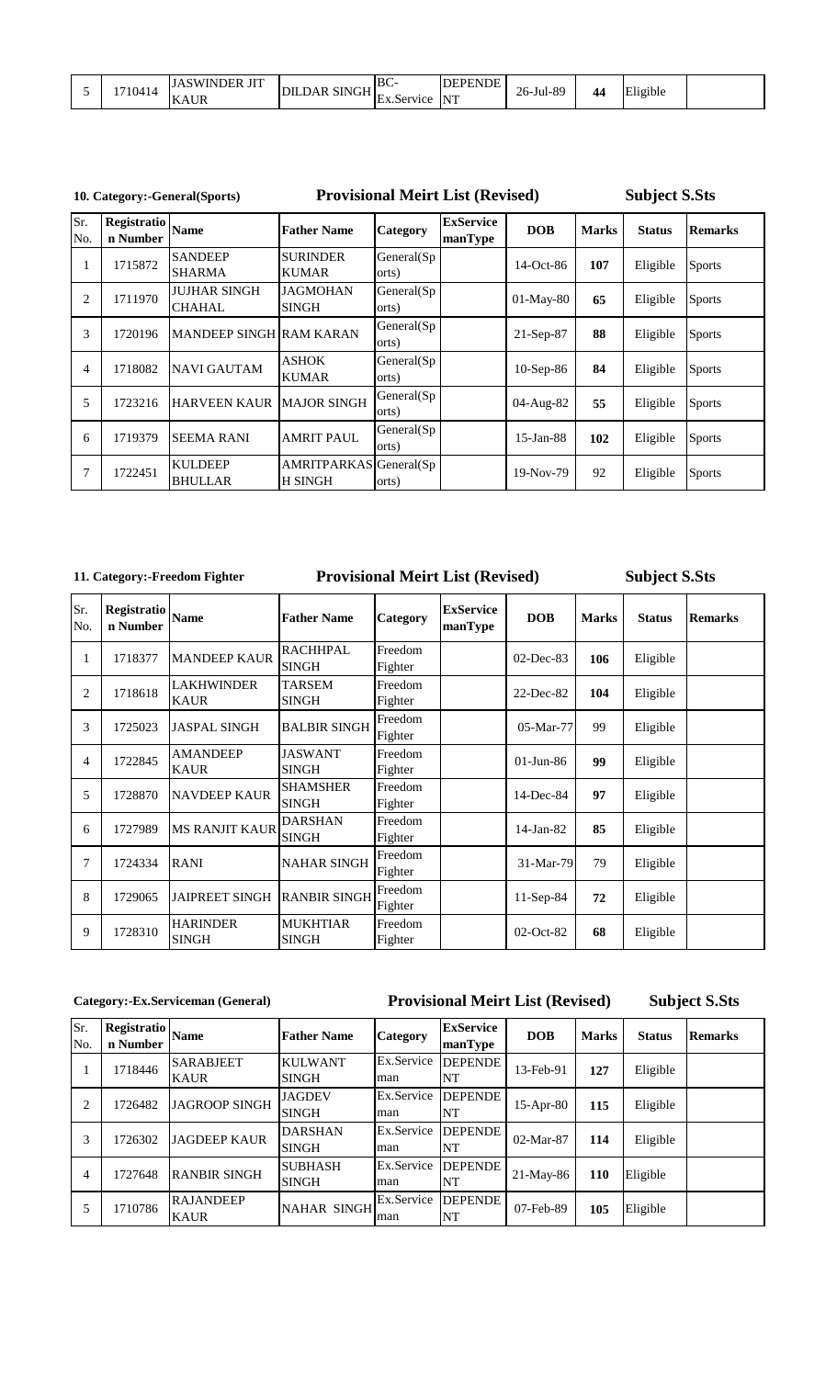|  | 710414 | <b>TITT</b><br>JDER<br>swini<br>- JI 1<br>$\mathbf{v}$ $\mathbf{v}$<br>INAUK | SINGH<br>JLDAR 1<br>DП | BC-<br>Ex.Service | <b>DEPENDE</b><br><b>NIT</b> | 26-Jul-89 | A.<br>- | .<br>Eligible |  |
|--|--------|------------------------------------------------------------------------------|------------------------|-------------------|------------------------------|-----------|---------|---------------|--|
|--|--------|------------------------------------------------------------------------------|------------------------|-------------------|------------------------------|-----------|---------|---------------|--|

### **10. Category:-General(Sports)**

**Provisional Meirt List (Revised)**

**Subject S.Sts**

| Sr.<br>No.     | Registratio<br>n Number | <b>Name</b>                          | <b>Father Name</b>                       | <b>Category</b>     | <b>ExService</b><br>manType | <b>DOB</b>   | <b>Marks</b> | <b>Status</b> | <b>Remarks</b> |
|----------------|-------------------------|--------------------------------------|------------------------------------------|---------------------|-----------------------------|--------------|--------------|---------------|----------------|
|                | 1715872                 | <b>SANDEEP</b><br><b>SHARMA</b>      | <b>SURINDER</b><br><b>KUMAR</b>          | General(Sp<br>orts) |                             | $14$ -Oct-86 | 107          | Eligible      | <b>Sports</b>  |
| $\overline{2}$ | 1711970                 | <b>JUJHAR SINGH</b><br><b>CHAHAL</b> | <b>JAGMOHAN</b><br><b>SINGH</b>          | General(Sp<br>orts) |                             | $01-May-80$  | 65           | Eligible      | <b>Sports</b>  |
| 3              | 1720196                 | <b>MANDEEP SINGH RAM KARAN</b>       |                                          | General(Sp<br>orts) |                             | $21-Sep-87$  | 88           | Eligible      | <b>Sports</b>  |
| 4              | 1718082                 | <b>NAVI GAUTAM</b>                   | <b>ASHOK</b><br><b>KUMAR</b>             | General(Sp<br>orts) |                             | $10-Sep-86$  | 84           | Eligible      | <b>Sports</b>  |
| 5              | 1723216                 | <b>HARVEEN KAUR</b>                  | <b>MAJOR SINGH</b>                       | General(Sp<br>orts) |                             | 04-Aug-82    | 55           | Eligible      | <b>Sports</b>  |
| 6              | 1719379                 | <b>SEEMA RANI</b>                    | <b>AMRIT PAUL</b>                        | General(Sp<br>orts) |                             | $15$ -Jan-88 | 102          | Eligible      | <b>Sports</b>  |
| 7              | 1722451                 | <b>KULDEEP</b><br><b>BHULLAR</b>     | AMRITPARKAS General(Sp<br><b>H SINGH</b> | orts)               |                             | 19-Nov-79    | 92           | Eligible      | <b>Sports</b>  |

### **11. Category:-Freedom Fighter**

### **Provisional Meirt List (Revised)**

### **Subject S.Sts**

| Sr.<br>No.     | Registratio<br>n Number | <b>Name</b>                      | <b>Father Name</b>              | Category           | <b>ExService</b><br>manType | <b>DOB</b>   | <b>Marks</b> | <b>Status</b> | <b>Remarks</b> |
|----------------|-------------------------|----------------------------------|---------------------------------|--------------------|-----------------------------|--------------|--------------|---------------|----------------|
| 1              | 1718377                 | <b>MANDEEP KAUR</b>              | <b>RACHHPAL</b><br><b>SINGH</b> | Freedom<br>Fighter |                             | $02$ -Dec-83 | 106          | Eligible      |                |
| $\overline{2}$ | 1718618                 | <b>LAKHWINDER</b><br><b>KAUR</b> | TARSEM<br><b>SINGH</b>          | Freedom<br>Fighter |                             | 22-Dec-82    | 104          | Eligible      |                |
| 3              | 1725023                 | <b>JASPAL SINGH</b>              | <b>BALBIR SINGH</b>             | Freedom<br>Fighter |                             | 05-Mar-77    | 99           | Eligible      |                |
| 4              | 1722845                 | <b>AMANDEEP</b><br><b>KAUR</b>   | <b>JASWANT</b><br><b>SINGH</b>  | Freedom<br>Fighter |                             | $01$ -Jun-86 | 99           | Eligible      |                |
| 5              | 1728870                 | <b>NAVDEEP KAUR</b>              | <b>SHAMSHER</b><br><b>SINGH</b> | Freedom<br>Fighter |                             | 14-Dec-84    | 97           | Eligible      |                |
| 6              | 1727989                 | <b>MS RANJIT KAUR</b>            | <b>DARSHAN</b><br><b>SINGH</b>  | Freedom<br>Fighter |                             | $14-Jan-82$  | 85           | Eligible      |                |
| $\overline{7}$ | 1724334                 | <b>RANI</b>                      | <b>NAHAR SINGH</b>              | Freedom<br>Fighter |                             | 31-Mar-79    | 79           | Eligible      |                |
| 8              | 1729065                 | <b>JAIPREET SINGH</b>            | <b>RANBIR SINGH</b>             | Freedom<br>Fighter |                             | $11-Sep-84$  | 72           | Eligible      |                |
| 9              | 1728310                 | <b>HARINDER</b><br><b>SINGH</b>  | <b>MUKHTIAR</b><br><b>SINGH</b> | Freedom<br>Fighter |                             | 02-Oct-82    | 68           | Eligible      |                |

### **Category:-Ex.Serviceman (General)**

### **Provisional Meirt List (Revised)**

| Sr.<br>No. | <b>Registratio</b><br>n Number | <b>Name</b>                     | <b>Father Name</b>             | <b>Category</b>   | <b>ExService</b><br>manType | <b>DOB</b>  | <b>Marks</b> | <b>Status</b> | <b>Remarks</b> |
|------------|--------------------------------|---------------------------------|--------------------------------|-------------------|-----------------------------|-------------|--------------|---------------|----------------|
|            | 1718446                        | <b>SARABJEET</b><br><b>KAUR</b> | <b>KULWANT</b><br><b>SINGH</b> | Ex.Service<br>man | <b>DEPENDE</b><br>NT        | 13-Feb-91   | 127          | Eligible      |                |
| 2          | 1726482                        | <b>JAGROOP SINGH</b>            | <b>JAGDEV</b><br><b>SINGH</b>  | Ex.Service<br>man | <b>DEPENDE</b><br>NT        | $15-Apr-80$ | 115          | Eligible      |                |
| 3          | 1726302                        | <b>JAGDEEP KAUR</b>             | <b>DARSHAN</b><br><b>SINGH</b> | Ex.Service<br>man | <b>DEPENDE</b><br>NT        | $02-Mar-87$ | 114          | Eligible      |                |
| 4          | 1727648                        | <b>RANBIR SINGH</b>             | <b>SUBHASH</b><br><b>SINGH</b> | Ex.Service<br>man | <b>DEPENDE</b><br>NT        | $21-Mav-86$ | 110          | Eligible      |                |
| 5          | 1710786                        | <b>RAJANDEEP</b><br><b>KAUR</b> | <b>NAHAR SINGH</b>             | Ex.Service<br>man | <b>DEPENDE</b><br>NT        | 07-Feb-89   | 105          | Eligible      |                |